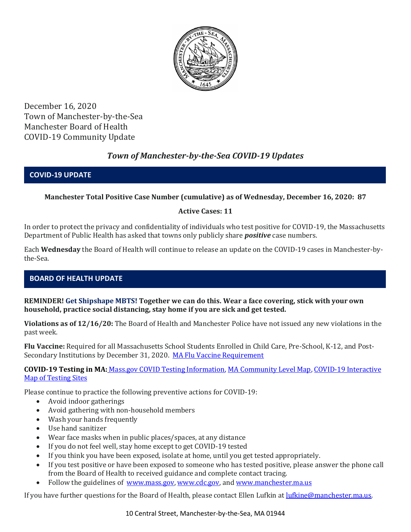

December 16, 2020 Town of Manchester-by-the-Sea Manchester Board of Health COVID-19 Community Update

# *Town of Manchester-by-the-Sea COVID-19 Updates*

### **COVID-19 UPDATE**

## **Manchester Total Positive Case Number (cumulative) as of Wednesday, December 16, 2020: 87**

### **Active Cases: 11**

In order to protect the privacy and confidentiality of individuals who test positive for COVID-19, the Massachusetts Department of Public Health has asked that towns only publicly share *positive* case numbers.

Each **Wednesday** the Board of Health will continue to release an update on the COVID-19 cases in Manchester-bythe-Sea.

## **BOARD OF HEALTH UPDATE**

**REMINDER! Get Shipshape MBTS! Together we can do this. Wear a face covering, stick with your own household, practice social distancing, stay home if you are sick and get tested.** 

**Violations as of 12/16/20:** The Board of Health and Manchester Police have not issued any new violations in the past week.

**Flu Vaccine:** Required for all Massachusetts School Students Enrolled in Child Care, Pre-School, K-12, and Post-Secondary Institutions by December 31, 2020. [MA Flu Vaccine Requirement](https://www.mass.gov/news/flu-vaccine-now-required-for-all-massachusetts-school-students-enrolled-in-child-care-pre)

**COVID-19 Testing in MA:** [Mass.gov COVID Testing Information,](https://www.mass.gov/covid-19-testing) [MA Community Level Map,](https://www.mass.gov/info-details/community-level-covid-19-data-reporting) [COVID-19 Interactive](https://memamaps.maps.arcgis.com/apps/webappviewer/index.html?id=eba3f0395451430b9f631cb095febf13)  [Map of Testing Sites](https://memamaps.maps.arcgis.com/apps/webappviewer/index.html?id=eba3f0395451430b9f631cb095febf13)

Please continue to practice the following preventive actions for COVID-19:

- Avoid indoor gatherings
- Avoid gathering with non-household members
- Wash your hands frequently
- Use hand sanitizer
- Wear face masks when in public places/spaces, at any distance
- If you do not feel well, stay home except to get COVID-19 tested
- If you think you have been exposed, isolate at home, until you get tested appropriately.
- If you test positive or have been exposed to someone who has tested positive, please answer the phone call from the Board of Health to received guidance and complete contact tracing.
- Follow the guidelines of [www.mass.gov,](https://www.mass.gov/) [www.cdc.gov,](https://www.cdc.gov/) and [www.manchester.ma.us](http://www.manchester.ma.us/)

If you have further questions for the Board of Health, please contact Ellen Lufkin at [lufkine@manchester.ma.us.](mailto:lufkine@manchester.ma.us)

10 Central Street, Manchester-by-the-Sea, MA 01944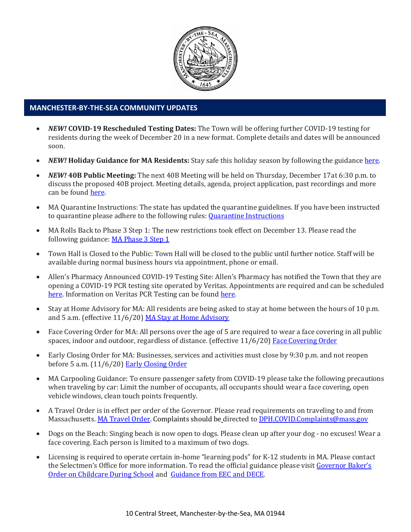

### **MANCHESTER-BY-THE-SEA COMMUNITY UPDATES**

- *NEW!* **COVID-19 Rescheduled Testing Dates:** The Town will be offering further COVID-19 testing for residents during the week of December 20 in a new format. Complete details and dates will be announced soon.
- *NEW!* **Holiday Guidance for MA Residents:** Stay safe this holiday season by following the guidance [here.](https://www.mass.gov/news/december-holiday-guidance)
- *NEW!* **40B Public Meeting:** The next 40B Meeting will be held on Thursday, December 17at 6:30 p.m. to discuss the proposed 40B project. Meeting details, agenda, project application, past recordings and more can be foun[d here.](http://manchester.ma.us/729/40B)
- MA Quarantine Instructions: The state has updated the quarantine guidelines. If you have been instructed to quarantine please adhere to the following rules: [Quarantine Instructions](http://manchester.ma.us/DocumentCenter/View/3558/14-10-7-day-COVID19_Quarantine-information-1272020)
- MA Rolls Back to Phase 3 Step 1: The new restrictions took effect on December 13. Please read the following guidance: [MA Phase 3 Step 1](https://www.mass.gov/news/baker-polito-administration-announces-statewide-rollback-to-phase-three-step-one-additional)
- Town Hall is Closed to the Public: Town Hall will be closed to the public until further notice. Staff will be available during normal business hours via appointment, phone or email.
- Allen's Pharmacy Announced COVID-19 Testing Site: Allen's Pharmacy has notified the Town that they are opening a COVID-19 PCR testing site operated by Veritas. Appointments are required and can be scheduled [here.](https://schedule.veritasgenetics.com/) Information on Veritas PCR Testing can be found [here.](https://www.veritasgenetics.com/covid-molecular/)
- Stay at Home Advisory for MA: All residents are being asked to stay at home between the hours of 10 p.m. and 5 a.m. (effective 11/6/20) [MA Stay at Home Advisory](https://www.mass.gov/news/stay-at-home-advisory)
- Face Covering Order for MA: All persons over the age of 5 are required to wear a face covering in all public spaces, indoor and outdoor, regardless of distance. (effective 11/6/20) [Face Covering Order](http://manchester.ma.us/DocumentCenter/View/3499/Revised-Face-Coverings-Order-No-55-1?fbclid=IwAR1a7l39TKetEAZ_mA8K6saG2GZ1dRBKA9-xuJJ3tDlAVUGCp7YatZmCKEo)
- Early Closing Order for MA: Businesses, services and activities must close by 9:30 p.m. and not reopen before 5 a.m.  $(11/6/20)$  [Early Closing Order](http://manchester.ma.us/DocumentCenter/View/3497/Early-Closing-and-Alcohol-Order-No-53-1?fbclid=IwAR0HIJzh646XAhpCz_miIpRMdh-nd_BhPpuljf5k-rkQey8DCI-dVFIfMlk)
- MA Carpooling Guidance: To ensure passenger safety from COVID-19 please take the following precautions when traveling by car: Limit the number of occupants, all occupants should wear a face covering, open vehicle windows, clean touch points frequently.
- A Travel Order is in effect per order of the Governor. Please read requirements on traveling to and from Massachusetts. [MA Travel Order.](https://www.mass.gov/info-details/covid-19-travel-order) Complaints should be directed to [DPH.COVID.Complaints@mass.gov](mailto:DPH.COVID.Complaints@mass.gov)
- Dogs on the Beach: Singing beach is now open to dogs. Please clean up after your dog no excuses! Wear a face covering. Each person is limited to a maximum of two dogs.
- Licensing is required to operate certain in-home "learning pods" for K-12 students in MA. Please contact the Selectmen's Office for more information. To read the official guidance please visit Governor Baker's [Order on Childcare During School](https://www.mass.gov/doc/august-28-2020-supporting-parents-with-children-in-remote-learning/download) and [Guidance from EEC and DECE.](https://eeclead.force.com/resource/1598716186000/CareOptions)